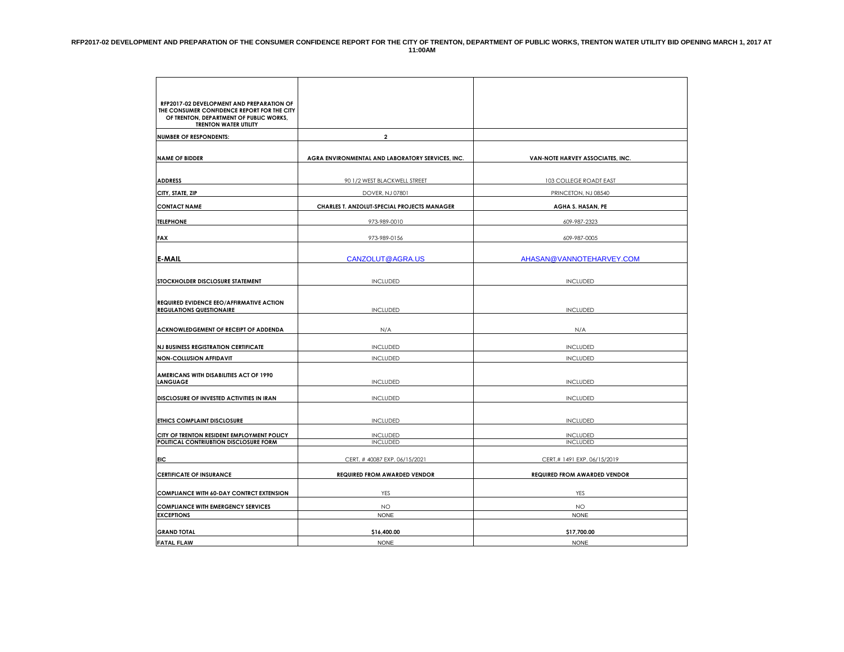| RFP2017-02 DEVELOPMENT AND PREPARATION OF<br>THE CONSUMER CONFIDENCE REPORT FOR THE CITY<br>OF TRENTON, DEPARTMENT OF PUBLIC WORKS,<br><b>TRENTON WATER UTILITY</b> |                                                  |                                     |
|---------------------------------------------------------------------------------------------------------------------------------------------------------------------|--------------------------------------------------|-------------------------------------|
| <b>NUMBER OF RESPONDENTS:</b>                                                                                                                                       | $\overline{\mathbf{2}}$                          |                                     |
| <b>NAME OF BIDDER</b>                                                                                                                                               | AGRA ENVIRONMENTAL AND LABORATORY SERVICES, INC. | VAN-NOTE HARVEY ASSOCIATES, INC.    |
| <b>ADDRESS</b>                                                                                                                                                      | 90 1/2 WEST BLACKWELL STREET                     | <b>103 COLLEGE ROADT EAST</b>       |
| CITY, STATE, ZIP                                                                                                                                                    | DOVER, NJ 07801                                  | PRINCETON, NJ 08540                 |
| <b>CONTACT NAME</b>                                                                                                                                                 | CHARLES T. ANZOLUT-SPECIAL PROJECTS MANAGER      | AGHA S. HASAN, PE                   |
| <b>TELEPHONE</b>                                                                                                                                                    | 973-989-0010                                     | 609-987-2323                        |
| <b>FAX</b>                                                                                                                                                          | 973-989-0156                                     | 609-987-0005                        |
| <b>E-MAIL</b>                                                                                                                                                       | CANZOLUT@AGRA.US                                 | AHASAN@VANNOTEHARVEY.COM            |
| STOCKHOLDER DISCLOSURE STATEMENT                                                                                                                                    | <b>INCLUDED</b>                                  | <b>INCLUDED</b>                     |
| <b>REQUIRED EVIDENCE EEO/AFFIRMATIVE ACTION</b><br><b>REGULATIONS QUESTIONAIRE</b>                                                                                  | <b>INCLUDED</b>                                  | <b>INCLUDED</b>                     |
| ACKNOWLEDGEMENT OF RECEIPT OF ADDENDA                                                                                                                               | N/A                                              | N/A                                 |
| <b>NJ BUSINESS REGISTRATION CERTIFICATE</b>                                                                                                                         | <b>INCLUDED</b>                                  | <b>INCLUDED</b>                     |
| <b>NON-COLLUSION AFFIDAVIT</b>                                                                                                                                      | <b>INCLUDED</b>                                  | <b>INCLUDED</b>                     |
| AMERICANS WITH DISABILITIES ACT OF 1990<br><b>LANGUAGE</b>                                                                                                          | <b>INCLUDED</b>                                  | <b>INCLUDED</b>                     |
| DISCLOSURE OF INVESTED ACTIVITIES IN IRAN                                                                                                                           | <b>INCLUDED</b>                                  | <b>INCLUDED</b>                     |
| ETHICS COMPLAINT DISCLOSURE                                                                                                                                         | <b>INCLUDED</b>                                  | <b>INCLUDED</b>                     |
| CITY OF TRENTON RESIDENT EMPLOYMENT POLICY<br>POLITICAL CONTRIUBTION DISCLOSURE FORM                                                                                | <b>INCLUDED</b><br><b>INCLUDED</b>               | <b>INCLUDED</b><br><b>INCLUDED</b>  |
| EIC                                                                                                                                                                 | CERT. # 40087 EXP. 06/15/2021                    | CERT.# 1491 EXP. 06/15/2019         |
| <b>CERTIFICATE OF INSURANCE</b>                                                                                                                                     | REQUIRED FROM AWARDED VENDOR                     | <b>REQUIRED FROM AWARDED VENDOR</b> |
| <b>COMPLIANCE WITH 60-DAY CONTRCT EXTENSION</b>                                                                                                                     | YES                                              | YES                                 |
| <b>COMPLIANCE WITH EMERGENCY SERVICES</b>                                                                                                                           | <b>NO</b>                                        | <b>NO</b>                           |
| <b>EXCEPTIONS</b>                                                                                                                                                   | <b>NONE</b>                                      | <b>NONE</b>                         |
| <b>GRAND TOTAL</b>                                                                                                                                                  | \$16,400.00                                      | \$17,700.00                         |
| <b>FATAL FLAW</b>                                                                                                                                                   | <b>NONE</b>                                      | <b>NONE</b>                         |